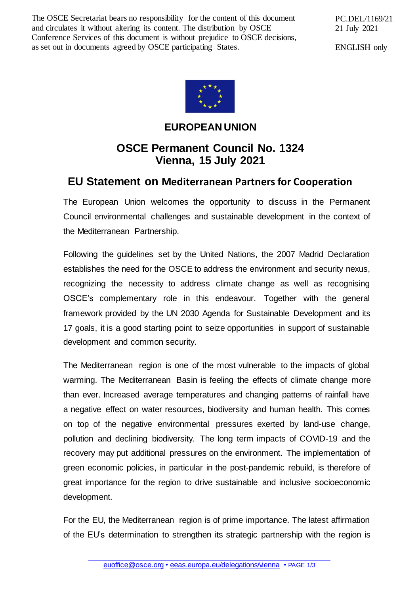The OSCE Secretariat bears no responsibility for the content of this document and circulates it without altering its content. The distribution by OSCE Conference Services of this document is without prejudice to OSCE decisions, as set out in documents agreed by OSCE participating States.

PC.DEL/1169/21 21 July 2021

ENGLISH only



**EUROPEAN UNION**

## **OSCE Permanent Council No. 1324 Vienna, 15 July 2021**

## **EU Statement on Mediterranean Partners for Cooperation**

The European Union welcomes the opportunity to discuss in the Permanent Council environmental challenges and sustainable development in the context of the Mediterranean Partnership.

Following the guidelines set by the United Nations, the 2007 Madrid Declaration establishes the need for the OSCE to address the environment and security nexus, recognizing the necessity to address climate change as well as recognising OSCE's complementary role in this endeavour. Together with the general framework provided by the UN 2030 Agenda for Sustainable Development and its 17 goals, it is a good starting point to seize opportunities in support of sustainable development and common security.

The Mediterranean region is one of the most vulnerable to the impacts of global warming. The Mediterranean Basin is feeling the effects of climate change more than ever. Increased average temperatures and changing patterns of rainfall have a negative effect on water resources, biodiversity and human health. This comes on top of the negative environmental pressures exerted by land-use change, pollution and declining biodiversity. The long term impacts of COVID-19 and the recovery may put additional pressures on the environment. The implementation of green economic policies, in particular in the post-pandemic rebuild, is therefore of great importance for the region to drive sustainable and inclusive socioeconomic development.

For the EU, the Mediterranean region is of prime importance. The latest affirmation of the EU's determination to strengthen its strategic partnership with the region is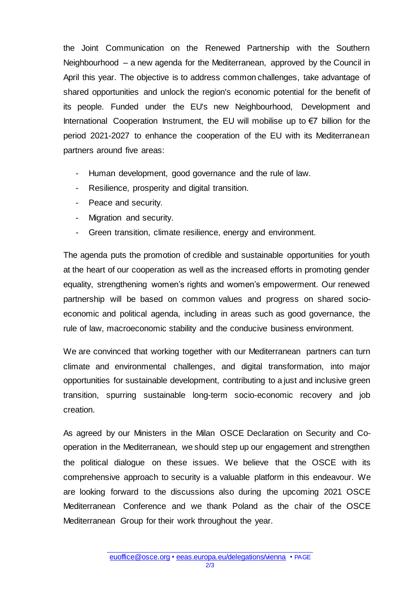the Joint Communication on the Renewed Partnership with the Southern Neighbourhood – a new agenda for the Mediterranean, approved by the Council in April this year. The objective is to address common challenges, take advantage of shared opportunities and unlock the region's economic potential for the benefit of its people. Funded under the EU's new Neighbourhood, Development and International Cooperation Instrument, the EU will mobilise up to €7 billion for the period 2021-2027 to enhance the cooperation of the EU with its Mediterranean partners around five areas:

- Human development, good governance and the rule of law.
- Resilience, prosperity and digital transition.
- Peace and security.
- Migration and security.
- Green transition, climate resilience, energy and environment.

The agenda puts the promotion of credible and sustainable opportunities for youth at the heart of our cooperation as well as the increased efforts in promoting gender equality, strengthening women's rights and women's empowerment. Our renewed partnership will be based on common values and progress on shared socioeconomic and political agenda, including in areas such as good governance, the rule of law, macroeconomic stability and the conducive business environment.

We are convinced that working together with our Mediterranean partners can turn climate and environmental challenges, and digital transformation, into major opportunities for sustainable development, contributing to a just and inclusive green transition, spurring sustainable long-term socio-economic recovery and job creation.

As agreed by our Ministers in the Milan OSCE Declaration on Security and Cooperation in the Mediterranean, we should step up our engagement and strengthen the political dialogue on these issues. We believe that the OSCE with its comprehensive approach to security is a valuable platform in this endeavour. We are looking forward to the discussions also during the upcoming 2021 OSCE Mediterranean Conference and we thank Poland as the chair of the OSCE Mediterranean Group for their work throughout the year.